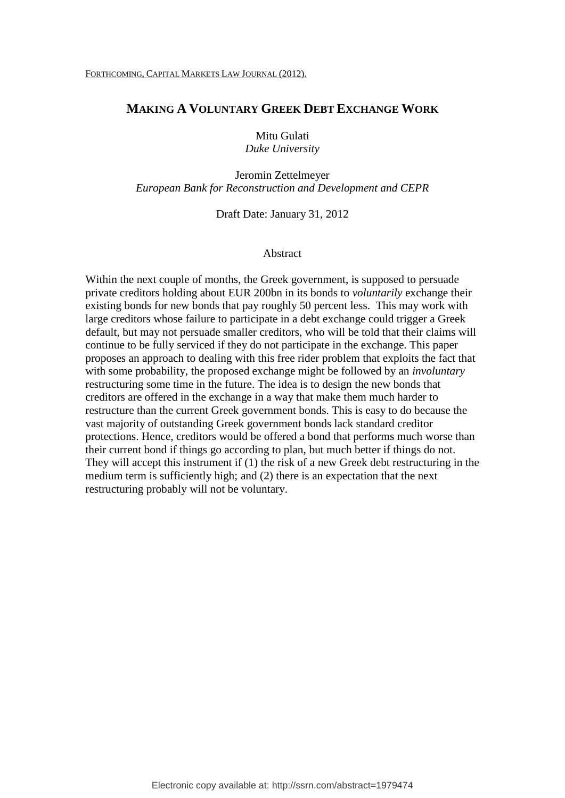# **MAKING A VOLUNTARY GREEK DEBT EXCHANGE WORK**

Mitu Gulati

*Duke University*

Jeromin Zettelmeyer *European Bank for Reconstruction and Development and CEPR*

Draft Date: January 31, 2012

## Abstract

Within the next couple of months, the Greek government, is supposed to persuade private creditors holding about EUR 200bn in its bonds to *voluntarily* exchange their existing bonds for new bonds that pay roughly 50 percent less. This may work with large creditors whose failure to participate in a debt exchange could trigger a Greek default, but may not persuade smaller creditors, who will be told that their claims will continue to be fully serviced if they do not participate in the exchange. This paper proposes an approach to dealing with this free rider problem that exploits the fact that with some probability, the proposed exchange might be followed by an *involuntary* restructuring some time in the future. The idea is to design the new bonds that creditors are offered in the exchange in a way that make them much harder to restructure than the current Greek government bonds. This is easy to do because the vast majority of outstanding Greek government bonds lack standard creditor protections. Hence, creditors would be offered a bond that performs much worse than their current bond if things go according to plan, but much better if things do not. They will accept this instrument if (1) the risk of a new Greek debt restructuring in the medium term is sufficiently high; and (2) there is an expectation that the next restructuring probably will not be voluntary.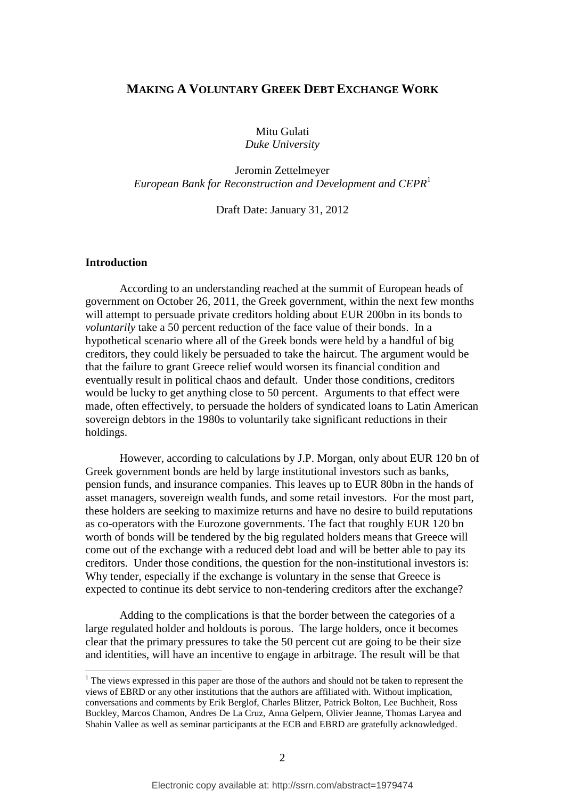# **MAKING A VOLUNTARY GREEK DEBT EXCHANGE WORK**

Mitu Gulati *Duke University*

Jeromin Zettelmeyer *European Bank for Reconstruction and Development and CEPR*<sup>1</sup>

Draft Date: January 31, 2012

### **Introduction**

<u>.</u>

According to an understanding reached at the summit of European heads of government on October 26, 2011, the Greek government, within the next few months will attempt to persuade private creditors holding about EUR 200bn in its bonds to *voluntarily* take a 50 percent reduction of the face value of their bonds. In a hypothetical scenario where all of the Greek bonds were held by a handful of big creditors, they could likely be persuaded to take the haircut. The argument would be that the failure to grant Greece relief would worsen its financial condition and eventually result in political chaos and default. Under those conditions, creditors would be lucky to get anything close to 50 percent. Arguments to that effect were made, often effectively, to persuade the holders of syndicated loans to Latin American sovereign debtors in the 1980s to voluntarily take significant reductions in their holdings.

However, according to calculations by J.P. Morgan, only about EUR 120 bn of Greek government bonds are held by large institutional investors such as banks, pension funds, and insurance companies. This leaves up to EUR 80bn in the hands of asset managers, sovereign wealth funds, and some retail investors. For the most part, these holders are seeking to maximize returns and have no desire to build reputations as co-operators with the Eurozone governments. The fact that roughly EUR 120 bn worth of bonds will be tendered by the big regulated holders means that Greece will come out of the exchange with a reduced debt load and will be better able to pay its creditors. Under those conditions, the question for the non-institutional investors is: Why tender, especially if the exchange is voluntary in the sense that Greece is expected to continue its debt service to non-tendering creditors after the exchange?

Adding to the complications is that the border between the categories of a large regulated holder and holdouts is porous. The large holders, once it becomes clear that the primary pressures to take the 50 percent cut are going to be their size and identities, will have an incentive to engage in arbitrage. The result will be that

 $<sup>1</sup>$  The views expressed in this paper are those of the authors and should not be taken to represent the</sup> views of EBRD or any other institutions that the authors are affiliated with. Without implication, conversations and comments by Erik Berglof, Charles Blitzer, Patrick Bolton, Lee Buchheit, Ross Buckley, Marcos Chamon, Andres De La Cruz, Anna Gelpern, Olivier Jeanne, Thomas Laryea and Shahin Vallee as well as seminar participants at the ECB and EBRD are gratefully acknowledged.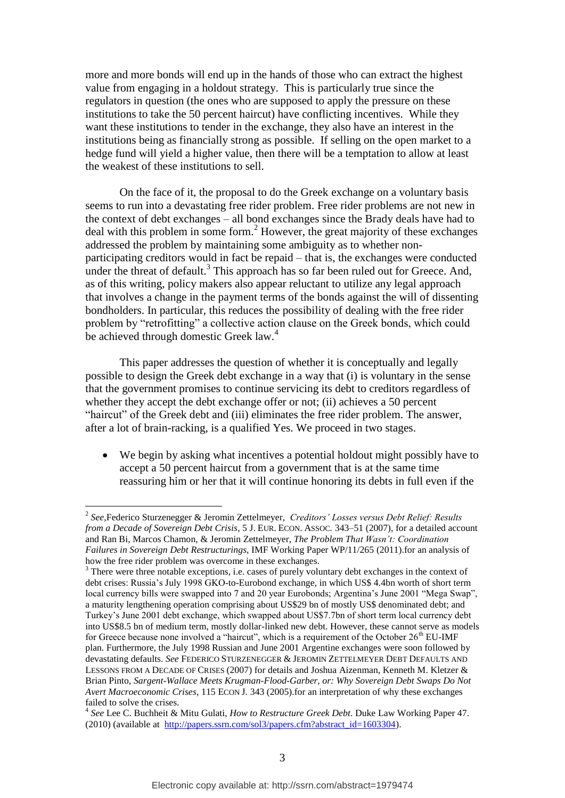more and more bonds will end up in the hands of those who can extract the highest value from engaging in a holdout strategy. This is particularly true since the regulators in question (the ones who are supposed to apply the pressure on these institutions to take the 50 percent haircut) have conflicting incentives. While they want these institutions to tender in the exchange, they also have an interest in the institutions being as financially strong as possible. If selling on the open market to a hedge fund will yield a higher value, then there will be a temptation to allow at least the weakest of these institutions to sell.

On the face of it, the proposal to do the Greek exchange on a voluntary basis seems to run into a devastating free rider problem. Free rider problems are not new in the context of debt exchanges – all bond exchanges since the Brady deals have had to deal with this problem in some form.<sup>2</sup> However, the great majority of these exchanges addressed the problem by maintaining some ambiguity as to whether nonparticipating creditors would in fact be repaid – that is, the exchanges were conducted under the threat of default.<sup>3</sup> This approach has so far been ruled out for Greece. And, as of this writing, policy makers also appear reluctant to utilize any legal approach that involves a change in the payment terms of the bonds against the will of dissenting bondholders. In particular, this reduces the possibility of dealing with the free rider problem by "retrofitting" a collective action clause on the Greek bonds, which could be achieved through domestic Greek law.<sup>4</sup>

This paper addresses the question of whether it is conceptually and legally possible to design the Greek debt exchange in a way that (i) is voluntary in the sense that the government promises to continue servicing its debt to creditors regardless of whether they accept the debt exchange offer or not; (ii) achieves a 50 percent "haircut" of the Greek debt and (iii) eliminates the free rider problem. The answer, after a lot of brain-racking, is a qualified Yes. We proceed in two stages.

 We begin by asking what incentives a potential holdout might possibly have to accept a 50 percent haircut from a government that is at the same time reassuring him or her that it will continue honoring its debts in full even if the

<sup>2</sup> *See*,Federico Sturzenegger & Jeromin Zettelmeyer, *Creditors' Losses versus Debt Relief: Results from a Decade of Sovereign Debt Crisis*, 5 J. EUR. ECON. ASSOC*.* 343–51 (2007), for a detailed account and Ran Bi, Marcos Chamon, & Jeromin Zettelmeyer, *The Problem That Wasn't: Coordination Failures in Sovereign Debt Restructurings*, IMF Working Paper WP/11/265 (2011).for an analysis of how the free rider problem was overcome in these exchanges.

<sup>&</sup>lt;sup>3</sup> There were three notable exceptions, i.e. cases of purely voluntary debt exchanges in the context of debt crises: Russia's July 1998 GKO-to-Eurobond exchange, in which US\$ 4.4bn worth of short term local currency bills were swapped into 7 and 20 year Eurobonds; Argentina's June 2001 "Mega Swap", a maturity lengthening operation comprising about US\$29 bn of mostly US\$ denominated debt; and Turkey's June 2001 debt exchange, which swapped about US\$7.7bn of short term local currency debt into US\$8.5 bn of medium term, mostly dollar-linked new debt. However, these cannot serve as models for Greece because none involved a "haircut", which is a requirement of the October 26<sup>th</sup> EU-IMF plan. Furthermore, the July 1998 Russian and June 2001 Argentine exchanges were soon followed by devastating defaults. *See* FEDERICO STURZENEGGER & JEROMIN ZETTELMEYER DEBT DEFAULTS AND LESSONS FROM A DECADE OF CRISES (2007) for details and Joshua Aizenman, Kenneth M. Kletzer & Brian Pinto, *Sargent-Wallace Meets Krugman-Flood-Garber, or: Why Sovereign Debt Swaps Do Not Avert Macroeconomic Crises*, 115 ECON J*.* 343 (2005).for an interpretation of why these exchanges failed to solve the crises.

<sup>4</sup> *See* Lee C. Buchheit & Mitu Gulati, *How to Restructure Greek Debt*. Duke Law Working Paper 47. (2010) (available at [http://papers.ssrn.com/sol3/papers.cfm?abstract\\_id=1603304\)](http://papers.ssrn.com/sol3/papers.cfm?abstract_id=1603304).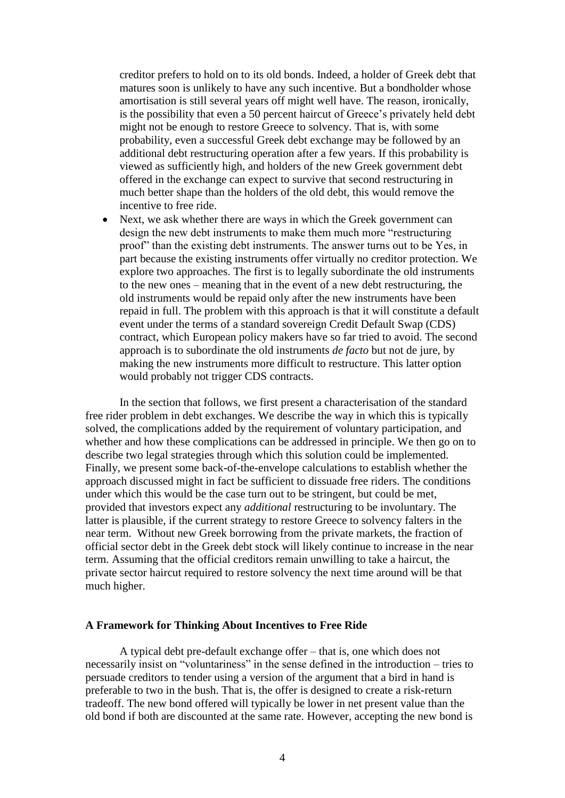creditor prefers to hold on to its old bonds. Indeed, a holder of Greek debt that matures soon is unlikely to have any such incentive. But a bondholder whose amortisation is still several years off might well have. The reason, ironically, is the possibility that even a 50 percent haircut of Greece's privately held debt might not be enough to restore Greece to solvency. That is, with some probability, even a successful Greek debt exchange may be followed by an additional debt restructuring operation after a few years. If this probability is viewed as sufficiently high, and holders of the new Greek government debt offered in the exchange can expect to survive that second restructuring in much better shape than the holders of the old debt, this would remove the incentive to free ride.

• Next, we ask whether there are ways in which the Greek government can design the new debt instruments to make them much more "restructuring proof" than the existing debt instruments. The answer turns out to be Yes, in part because the existing instruments offer virtually no creditor protection. We explore two approaches. The first is to legally subordinate the old instruments to the new ones – meaning that in the event of a new debt restructuring, the old instruments would be repaid only after the new instruments have been repaid in full. The problem with this approach is that it will constitute a default event under the terms of a standard sovereign Credit Default Swap (CDS) contract, which European policy makers have so far tried to avoid. The second approach is to subordinate the old instruments *de facto* but not de jure, by making the new instruments more difficult to restructure. This latter option would probably not trigger CDS contracts.

In the section that follows, we first present a characterisation of the standard free rider problem in debt exchanges. We describe the way in which this is typically solved, the complications added by the requirement of voluntary participation, and whether and how these complications can be addressed in principle. We then go on to describe two legal strategies through which this solution could be implemented. Finally, we present some back-of-the-envelope calculations to establish whether the approach discussed might in fact be sufficient to dissuade free riders. The conditions under which this would be the case turn out to be stringent, but could be met, provided that investors expect any *additional* restructuring to be involuntary. The latter is plausible, if the current strategy to restore Greece to solvency falters in the near term. Without new Greek borrowing from the private markets, the fraction of official sector debt in the Greek debt stock will likely continue to increase in the near term. Assuming that the official creditors remain unwilling to take a haircut, the private sector haircut required to restore solvency the next time around will be that much higher.

#### **A Framework for Thinking About Incentives to Free Ride**

A typical debt pre-default exchange offer – that is, one which does not necessarily insist on "voluntariness" in the sense defined in the introduction – tries to persuade creditors to tender using a version of the argument that a bird in hand is preferable to two in the bush. That is, the offer is designed to create a risk-return tradeoff. The new bond offered will typically be lower in net present value than the old bond if both are discounted at the same rate. However, accepting the new bond is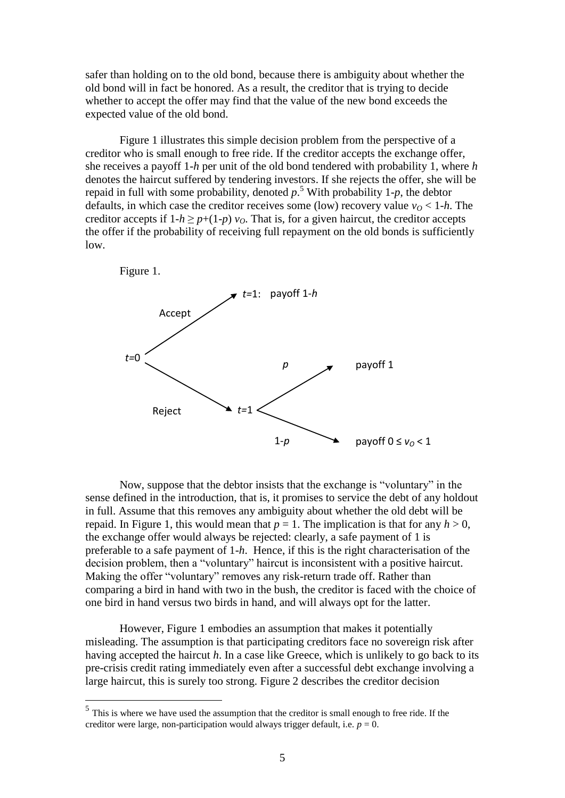safer than holding on to the old bond, because there is ambiguity about whether the old bond will in fact be honored. As a result, the creditor that is trying to decide whether to accept the offer may find that the value of the new bond exceeds the expected value of the old bond.

Figure 1 illustrates this simple decision problem from the perspective of a creditor who is small enough to free ride. If the creditor accepts the exchange offer, she receives a payoff 1-*h* per unit of the old bond tendered with probability 1, where *h* denotes the haircut suffered by tendering investors. If she rejects the offer, she will be repaid in full with some probability, denoted  $p$ <sup>5</sup> With probability 1-p, the debtor defaults, in which case the creditor receives some (low) recovery value  $v_0 < 1$ -*h*. The creditor accepts if  $1-h \geq p+(1-p)$   $v<sub>O</sub>$ . That is, for a given haircut, the creditor accepts the offer if the probability of receiving full repayment on the old bonds is sufficiently low.



Now, suppose that the debtor insists that the exchange is "voluntary" in the sense defined in the introduction, that is, it promises to service the debt of any holdout in full. Assume that this removes any ambiguity about whether the old debt will be repaid. In Figure 1, this would mean that  $p = 1$ . The implication is that for any  $h > 0$ , the exchange offer would always be rejected: clearly, a safe payment of 1 is preferable to a safe payment of 1-*h*. Hence, if this is the right characterisation of the decision problem, then a "voluntary" haircut is inconsistent with a positive haircut. Making the offer "voluntary" removes any risk-return trade off. Rather than comparing a bird in hand with two in the bush, the creditor is faced with the choice of one bird in hand versus two birds in hand, and will always opt for the latter.

However, Figure 1 embodies an assumption that makes it potentially misleading. The assumption is that participating creditors face no sovereign risk after having accepted the haircut *h*. In a case like Greece, which is unlikely to go back to its pre-crisis credit rating immediately even after a successful debt exchange involving a large haircut, this is surely too strong. Figure 2 describes the creditor decision

 $<sup>5</sup>$  This is where we have used the assumption that the creditor is small enough to free ride. If the</sup> creditor were large, non-participation would always trigger default, i.e.  $p = 0$ .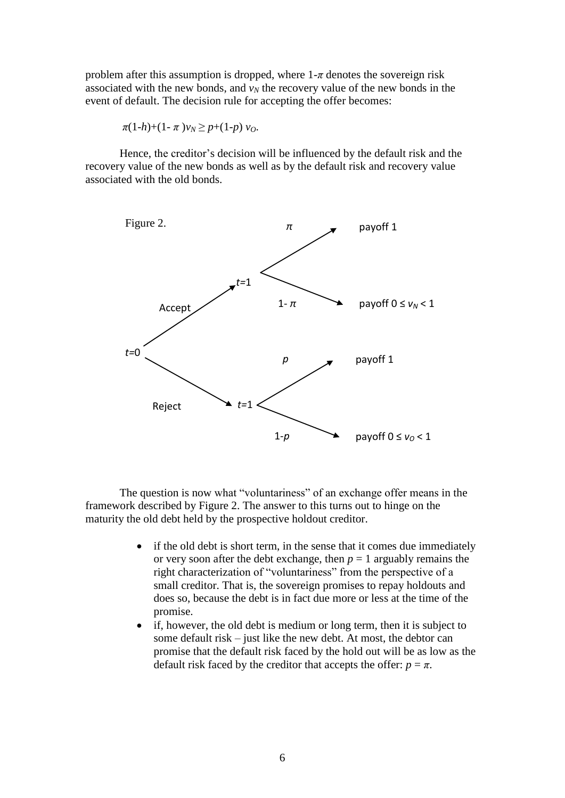problem after this assumption is dropped, where  $1-\pi$  denotes the sovereign risk associated with the new bonds, and  $v<sub>N</sub>$  the recovery value of the new bonds in the event of default. The decision rule for accepting the offer becomes:

$$
\pi(1-h)+(1-\pi)v_N \geq p+(1-p)v_O.
$$

Hence, the creditor's decision will be influenced by the default risk and the recovery value of the new bonds as well as by the default risk and recovery value associated with the old bonds.



The question is now what "voluntariness" of an exchange offer means in the framework described by Figure 2. The answer to this turns out to hinge on the maturity the old debt held by the prospective holdout creditor.

- if the old debt is short term, in the sense that it comes due immediately or very soon after the debt exchange, then  $p = 1$  arguably remains the right characterization of "voluntariness" from the perspective of a small creditor. That is, the sovereign promises to repay holdouts and does so, because the debt is in fact due more or less at the time of the promise.
- if, however, the old debt is medium or long term, then it is subject to some default risk – just like the new debt. At most, the debtor can promise that the default risk faced by the hold out will be as low as the default risk faced by the creditor that accepts the offer:  $p = \pi$ .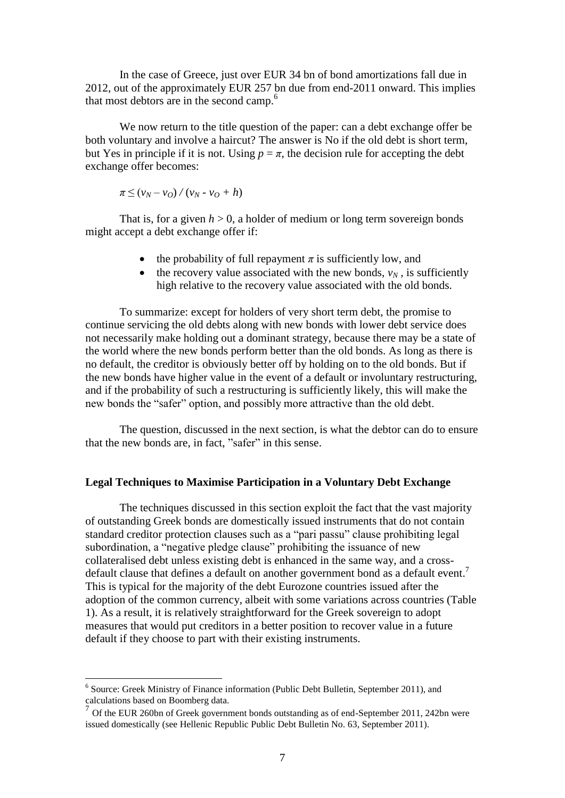In the case of Greece, just over EUR 34 bn of bond amortizations fall due in 2012, out of the approximately EUR 257 bn due from end-2011 onward. This implies that most debtors are in the second camp. 6

We now return to the title question of the paper: can a debt exchange offer be both voluntary and involve a haircut? The answer is No if the old debt is short term, but Yes in principle if it is not. Using  $p = \pi$ , the decision rule for accepting the debt exchange offer becomes:

$$
\pi \leq (v_N - v_O) / (v_N - v_O + h)
$$

That is, for a given  $h > 0$ , a holder of medium or long term sovereign bonds might accept a debt exchange offer if:

- the probability of full repayment  $\pi$  is sufficiently low, and
- the recovery value associated with the new bonds,  $v_N$ , is sufficiently high relative to the recovery value associated with the old bonds.

To summarize: except for holders of very short term debt, the promise to continue servicing the old debts along with new bonds with lower debt service does not necessarily make holding out a dominant strategy, because there may be a state of the world where the new bonds perform better than the old bonds. As long as there is no default, the creditor is obviously better off by holding on to the old bonds. But if the new bonds have higher value in the event of a default or involuntary restructuring, and if the probability of such a restructuring is sufficiently likely, this will make the new bonds the "safer" option, and possibly more attractive than the old debt.

The question, discussed in the next section, is what the debtor can do to ensure that the new bonds are, in fact, "safer" in this sense.

#### **Legal Techniques to Maximise Participation in a Voluntary Debt Exchange**

The techniques discussed in this section exploit the fact that the vast majority of outstanding Greek bonds are domestically issued instruments that do not contain standard creditor protection clauses such as a "pari passu" clause prohibiting legal subordination, a "negative pledge clause" prohibiting the issuance of new collateralised debt unless existing debt is enhanced in the same way, and a crossdefault clause that defines a default on another government bond as a default event.<sup>7</sup> This is typical for the majority of the debt Eurozone countries issued after the adoption of the common currency, albeit with some variations across countries (Table 1). As a result, it is relatively straightforward for the Greek sovereign to adopt measures that would put creditors in a better position to recover value in a future default if they choose to part with their existing instruments.

<sup>&</sup>lt;sup>6</sup> Source: Greek Ministry of Finance information (Public Debt Bulletin, September 2011), and calculations based on Boomberg data.

<sup>&</sup>lt;sup>7</sup> Of the EUR 260bn of Greek government bonds outstanding as of end-September 2011, 242bn were issued domestically (see Hellenic Republic Public Debt Bulletin No. 63, September 2011).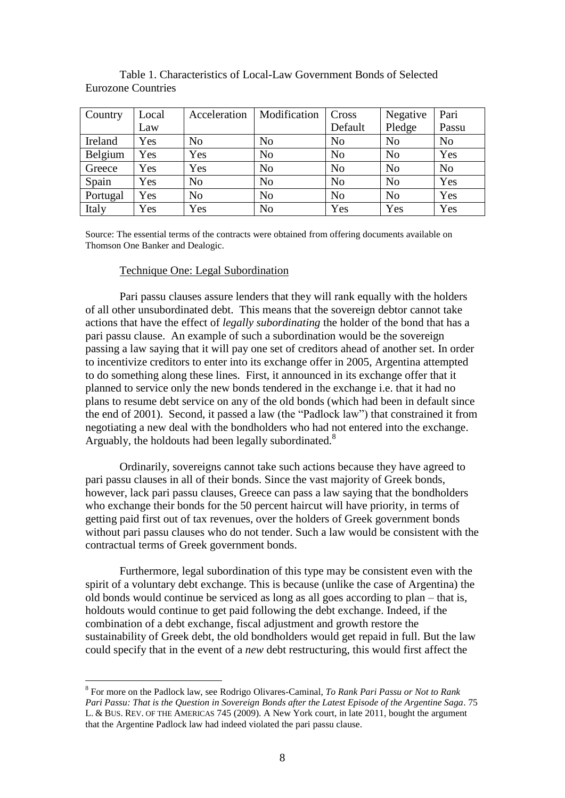| Country  | Local | Acceleration   | Modification   | Cross          | Negative       | Pari           |
|----------|-------|----------------|----------------|----------------|----------------|----------------|
|          | Law   |                |                | Default        | Pledge         | Passu          |
| Ireland  | Yes   | N <sub>o</sub> | N <sub>o</sub> | N <sub>o</sub> | N <sub>o</sub> | N <sub>o</sub> |
| Belgium  | Yes   | Yes            | N <sub>o</sub> | N <sub>o</sub> | N <sub>o</sub> | Yes            |
| Greece   | Yes   | Yes            | N <sub>o</sub> | N <sub>o</sub> | N <sub>o</sub> | N <sub>o</sub> |
| Spain    | Yes   | N <sub>o</sub> | N <sub>o</sub> | N <sub>o</sub> | N <sub>o</sub> | Yes            |
| Portugal | Yes   | N <sub>o</sub> | N <sub>o</sub> | N <sub>o</sub> | N <sub>o</sub> | Yes            |
| Italy    | Yes   | Yes            | N <sub>o</sub> | Yes            | Yes            | Yes            |

Table 1. Characteristics of Local-Law Government Bonds of Selected Eurozone Countries

Source: The essential terms of the contracts were obtained from offering documents available on Thomson One Banker and Dealogic.

## Technique One: Legal Subordination

1

Pari passu clauses assure lenders that they will rank equally with the holders of all other unsubordinated debt. This means that the sovereign debtor cannot take actions that have the effect of *legally subordinating* the holder of the bond that has a pari passu clause. An example of such a subordination would be the sovereign passing a law saying that it will pay one set of creditors ahead of another set. In order to incentivize creditors to enter into its exchange offer in 2005, Argentina attempted to do something along these lines. First, it announced in its exchange offer that it planned to service only the new bonds tendered in the exchange i.e. that it had no plans to resume debt service on any of the old bonds (which had been in default since the end of 2001). Second, it passed a law (the "Padlock law") that constrained it from negotiating a new deal with the bondholders who had not entered into the exchange. Arguably, the holdouts had been legally subordinated.<sup>8</sup>

Ordinarily, sovereigns cannot take such actions because they have agreed to pari passu clauses in all of their bonds. Since the vast majority of Greek bonds, however, lack pari passu clauses, Greece can pass a law saying that the bondholders who exchange their bonds for the 50 percent haircut will have priority, in terms of getting paid first out of tax revenues, over the holders of Greek government bonds without pari passu clauses who do not tender. Such a law would be consistent with the contractual terms of Greek government bonds.

Furthermore, legal subordination of this type may be consistent even with the spirit of a voluntary debt exchange. This is because (unlike the case of Argentina) the old bonds would continue be serviced as long as all goes according to plan – that is, holdouts would continue to get paid following the debt exchange. Indeed, if the combination of a debt exchange, fiscal adjustment and growth restore the sustainability of Greek debt, the old bondholders would get repaid in full. But the law could specify that in the event of a *new* debt restructuring, this would first affect the

<sup>8</sup> For more on the Padlock law, see Rodrigo Olivares-Caminal, *To Rank Pari Passu or Not to Rank Pari Passu: That is the Question in Sovereign Bonds after the Latest Episode of the Argentine Saga*. 75 L. & BUS. REV. OF THE AMERICAS 745 (2009). A New York court, in late 2011, bought the argument that the Argentine Padlock law had indeed violated the pari passu clause.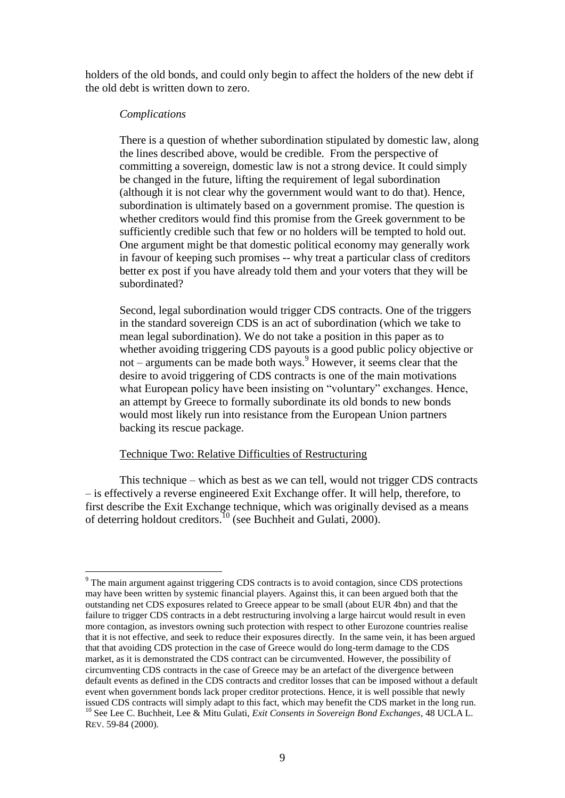holders of the old bonds, and could only begin to affect the holders of the new debt if the old debt is written down to zero.

## *Complications*

There is a question of whether subordination stipulated by domestic law, along the lines described above, would be credible. From the perspective of committing a sovereign, domestic law is not a strong device. It could simply be changed in the future, lifting the requirement of legal subordination (although it is not clear why the government would want to do that). Hence, subordination is ultimately based on a government promise. The question is whether creditors would find this promise from the Greek government to be sufficiently credible such that few or no holders will be tempted to hold out. One argument might be that domestic political economy may generally work in favour of keeping such promises -- why treat a particular class of creditors better ex post if you have already told them and your voters that they will be subordinated?

Second, legal subordination would trigger CDS contracts. One of the triggers in the standard sovereign CDS is an act of subordination (which we take to mean legal subordination). We do not take a position in this paper as to whether avoiding triggering CDS payouts is a good public policy objective or not – arguments can be made both ways.<sup>9</sup> However, it seems clear that the desire to avoid triggering of CDS contracts is one of the main motivations what European policy have been insisting on "voluntary" exchanges. Hence, an attempt by Greece to formally subordinate its old bonds to new bonds would most likely run into resistance from the European Union partners backing its rescue package.

## Technique Two: Relative Difficulties of Restructuring

This technique – which as best as we can tell, would not trigger CDS contracts – is effectively a reverse engineered Exit Exchange offer. It will help, therefore, to first describe the Exit Exchange technique, which was originally devised as a means of deterring holdout creditors.<sup>10</sup> (see Buchheit and Gulati, 2000).

<sup>1</sup> <sup>9</sup> The main argument against triggering CDS contracts is to avoid contagion, since CDS protections may have been written by systemic financial players. Against this, it can been argued both that the outstanding net CDS exposures related to Greece appear to be small (about EUR 4bn) and that the failure to trigger CDS contracts in a debt restructuring involving a large haircut would result in even more contagion, as investors owning such protection with respect to other Eurozone countries realise that it is not effective, and seek to reduce their exposures directly. In the same vein, it has been argued that that avoiding CDS protection in the case of Greece would do long-term damage to the CDS market, as it is demonstrated the CDS contract can be circumvented. However, the possibility of circumventing CDS contracts in the case of Greece may be an artefact of the divergence between default events as defined in the CDS contracts and creditor losses that can be imposed without a default event when government bonds lack proper creditor protections. Hence, it is well possible that newly issued CDS contracts will simply adapt to this fact, which may benefit the CDS market in the long run. <sup>10</sup> See Lee C. Buchheit, Lee & Mitu Gulati, *Exit Consents in Sovereign Bond Exchanges*, 48 UCLA L. REV. 59-84 (2000).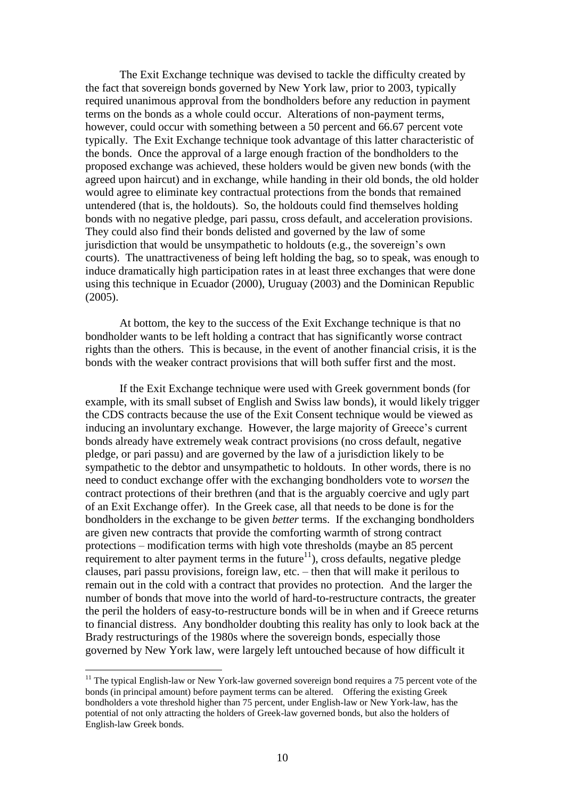The Exit Exchange technique was devised to tackle the difficulty created by the fact that sovereign bonds governed by New York law, prior to 2003, typically required unanimous approval from the bondholders before any reduction in payment terms on the bonds as a whole could occur. Alterations of non-payment terms, however, could occur with something between a 50 percent and 66.67 percent vote typically. The Exit Exchange technique took advantage of this latter characteristic of the bonds. Once the approval of a large enough fraction of the bondholders to the proposed exchange was achieved, these holders would be given new bonds (with the agreed upon haircut) and in exchange, while handing in their old bonds, the old holder would agree to eliminate key contractual protections from the bonds that remained untendered (that is, the holdouts). So, the holdouts could find themselves holding bonds with no negative pledge, pari passu, cross default, and acceleration provisions. They could also find their bonds delisted and governed by the law of some jurisdiction that would be unsympathetic to holdouts (e.g., the sovereign's own courts). The unattractiveness of being left holding the bag, so to speak, was enough to induce dramatically high participation rates in at least three exchanges that were done using this technique in Ecuador (2000), Uruguay (2003) and the Dominican Republic (2005).

At bottom, the key to the success of the Exit Exchange technique is that no bondholder wants to be left holding a contract that has significantly worse contract rights than the others. This is because, in the event of another financial crisis, it is the bonds with the weaker contract provisions that will both suffer first and the most.

If the Exit Exchange technique were used with Greek government bonds (for example, with its small subset of English and Swiss law bonds), it would likely trigger the CDS contracts because the use of the Exit Consent technique would be viewed as inducing an involuntary exchange. However, the large majority of Greece's current bonds already have extremely weak contract provisions (no cross default, negative pledge, or pari passu) and are governed by the law of a jurisdiction likely to be sympathetic to the debtor and unsympathetic to holdouts. In other words, there is no need to conduct exchange offer with the exchanging bondholders vote to *worsen* the contract protections of their brethren (and that is the arguably coercive and ugly part of an Exit Exchange offer). In the Greek case, all that needs to be done is for the bondholders in the exchange to be given *better* terms. If the exchanging bondholders are given new contracts that provide the comforting warmth of strong contract protections – modification terms with high vote thresholds (maybe an 85 percent requirement to alter payment terms in the future $11$ ), cross defaults, negative pledge clauses, pari passu provisions, foreign law, etc. – then that will make it perilous to remain out in the cold with a contract that provides no protection. And the larger the number of bonds that move into the world of hard-to-restructure contracts, the greater the peril the holders of easy-to-restructure bonds will be in when and if Greece returns to financial distress. Any bondholder doubting this reality has only to look back at the Brady restructurings of the 1980s where the sovereign bonds, especially those governed by New York law, were largely left untouched because of how difficult it

<u>.</u>

 $11$  The typical English-law or New York-law governed sovereign bond requires a 75 percent vote of the bonds (in principal amount) before payment terms can be altered. Offering the existing Greek bondholders a vote threshold higher than 75 percent, under English-law or New York-law, has the potential of not only attracting the holders of Greek-law governed bonds, but also the holders of English-law Greek bonds.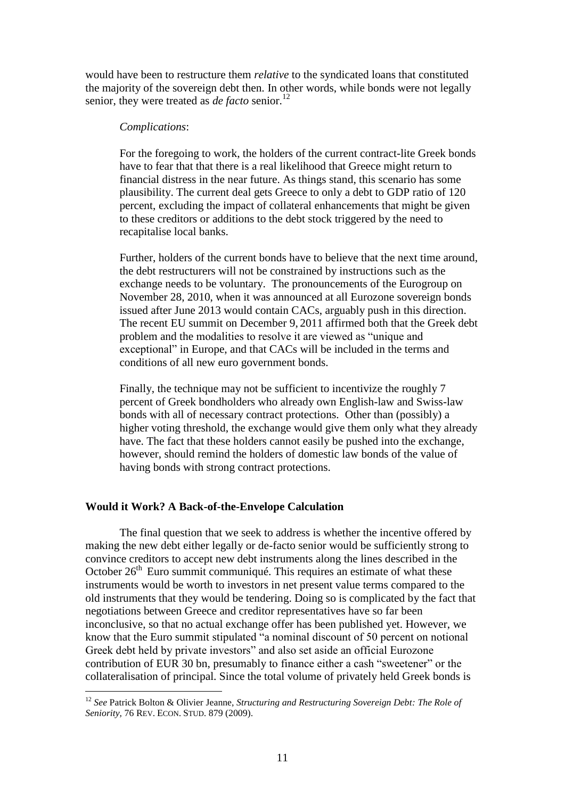would have been to restructure them *relative* to the syndicated loans that constituted the majority of the sovereign debt then. In other words, while bonds were not legally senior, they were treated as *de facto* senior. 12

### *Complications*:

For the foregoing to work, the holders of the current contract-lite Greek bonds have to fear that that there is a real likelihood that Greece might return to financial distress in the near future. As things stand, this scenario has some plausibility. The current deal gets Greece to only a debt to GDP ratio of 120 percent, excluding the impact of collateral enhancements that might be given to these creditors or additions to the debt stock triggered by the need to recapitalise local banks.

Further, holders of the current bonds have to believe that the next time around, the debt restructurers will not be constrained by instructions such as the exchange needs to be voluntary. The pronouncements of the Eurogroup on November 28, 2010, when it was announced at all Eurozone sovereign bonds issued after June 2013 would contain CACs, arguably push in this direction. The recent EU summit on December 9, 2011 affirmed both that the Greek debt problem and the modalities to resolve it are viewed as "unique and exceptional" in Europe, and that CACs will be included in the terms and conditions of all new euro government bonds.

Finally, the technique may not be sufficient to incentivize the roughly 7 percent of Greek bondholders who already own English-law and Swiss-law bonds with all of necessary contract protections. Other than (possibly) a higher voting threshold, the exchange would give them only what they already have. The fact that these holders cannot easily be pushed into the exchange, however, should remind the holders of domestic law bonds of the value of having bonds with strong contract protections.

#### **Would it Work? A Back-of-the-Envelope Calculation**

<u>.</u>

The final question that we seek to address is whether the incentive offered by making the new debt either legally or de-facto senior would be sufficiently strong to convince creditors to accept new debt instruments along the lines described in the October  $26<sup>th</sup>$  Euro summit communiqué. This requires an estimate of what these instruments would be worth to investors in net present value terms compared to the old instruments that they would be tendering. Doing so is complicated by the fact that negotiations between Greece and creditor representatives have so far been inconclusive, so that no actual exchange offer has been published yet. However, we know that the Euro summit stipulated "a nominal discount of 50 percent on notional Greek debt held by private investors" and also set aside an official Eurozone contribution of EUR 30 bn, presumably to finance either a cash "sweetener" or the collateralisation of principal. Since the total volume of privately held Greek bonds is

<sup>12</sup> *See* Patrick Bolton & Olivier Jeanne, *Structuring and Restructuring Sovereign Debt: The Role of Seniority,* 76 REV. ECON. STUD. 879 (2009).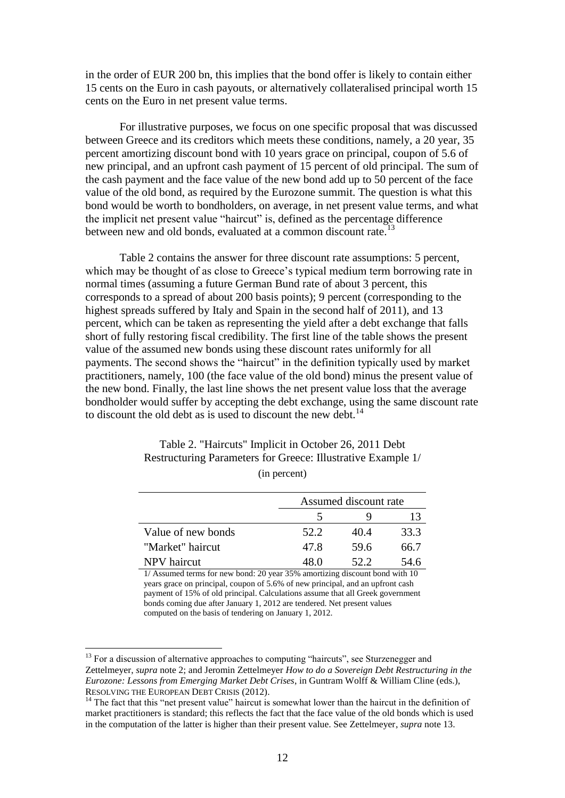in the order of EUR 200 bn, this implies that the bond offer is likely to contain either 15 cents on the Euro in cash payouts, or alternatively collateralised principal worth 15 cents on the Euro in net present value terms.

For illustrative purposes, we focus on one specific proposal that was discussed between Greece and its creditors which meets these conditions, namely, a 20 year, 35 percent amortizing discount bond with 10 years grace on principal, coupon of 5.6 of new principal, and an upfront cash payment of 15 percent of old principal. The sum of the cash payment and the face value of the new bond add up to 50 percent of the face value of the old bond, as required by the Eurozone summit. The question is what this bond would be worth to bondholders, on average, in net present value terms, and what the implicit net present value "haircut" is, defined as the percentage difference between new and old bonds, evaluated at a common discount rate.<sup>13</sup>

Table 2 contains the answer for three discount rate assumptions: 5 percent, which may be thought of as close to Greece's typical medium term borrowing rate in normal times (assuming a future German Bund rate of about 3 percent, this corresponds to a spread of about 200 basis points); 9 percent (corresponding to the highest spreads suffered by Italy and Spain in the second half of 2011), and 13 percent, which can be taken as representing the yield after a debt exchange that falls short of fully restoring fiscal credibility. The first line of the table shows the present value of the assumed new bonds using these discount rates uniformly for all payments. The second shows the "haircut" in the definition typically used by market practitioners, namely, 100 (the face value of the old bond) minus the present value of the new bond. Finally, the last line shows the net present value loss that the average bondholder would suffer by accepting the debt exchange, using the same discount rate to discount the old debt as is used to discount the new debt.<sup>14</sup>

| Table 2. "Haircuts" Implicit in October 26, 2011 Debt               |
|---------------------------------------------------------------------|
| <b>Restructuring Parameters for Greece: Illustrative Example 1/</b> |
| (in percent)                                                        |

|                    | Assumed discount rate |      |      |  |
|--------------------|-----------------------|------|------|--|
|                    |                       |      |      |  |
| Value of new bonds | 52.2                  | 40.4 | 33.3 |  |
| "Market" haircut   | 47.8                  | 59.6 | 66.7 |  |
| NPV haircut        | 48.0                  | 52.2 | 54.6 |  |

1/ Assumed terms for new bond: 20 year 35% amortizing discount bond with 10 years grace on principal, coupon of 5.6% of new principal, and an upfront cash payment of 15% of old principal. Calculations assume that all Greek government bonds coming due after January 1, 2012 are tendered. Net present values computed on the basis of tendering on January 1, 2012.

<sup>&</sup>lt;sup>13</sup> For a discussion of alternative approaches to computing "haircuts", see Sturzenegger and Zettelmeyer, *supra* note 2; and Jeromin Zettelmeyer *How to do a Sovereign Debt Restructuring in the Eurozone: Lessons from Emerging Market Debt Crises*, in Guntram Wolff & William Cline (eds.), RESOLVING THE EUROPEAN DEBT CRISIS (2012).

<sup>&</sup>lt;sup>14</sup> The fact that this "net present value" haircut is somewhat lower than the haircut in the definition of market practitioners is standard; this reflects the fact that the face value of the old bonds which is used in the computation of the latter is higher than their present value. See Zettelmeyer, *supra* note 13.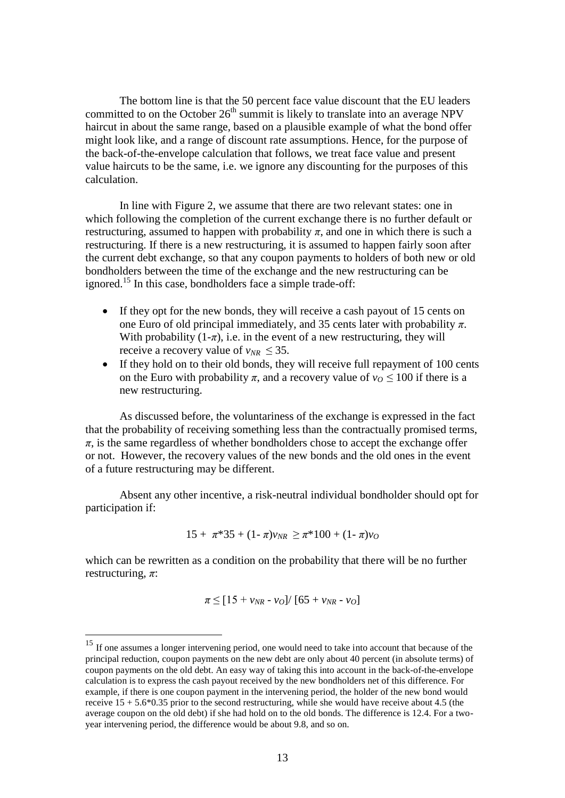The bottom line is that the 50 percent face value discount that the EU leaders committed to on the October  $26<sup>th</sup>$  summit is likely to translate into an average NPV haircut in about the same range, based on a plausible example of what the bond offer might look like, and a range of discount rate assumptions. Hence, for the purpose of the back-of-the-envelope calculation that follows, we treat face value and present value haircuts to be the same, i.e. we ignore any discounting for the purposes of this calculation.

In line with Figure 2, we assume that there are two relevant states: one in which following the completion of the current exchange there is no further default or restructuring, assumed to happen with probability  $\pi$ , and one in which there is such a restructuring. If there is a new restructuring, it is assumed to happen fairly soon after the current debt exchange, so that any coupon payments to holders of both new or old bondholders between the time of the exchange and the new restructuring can be ignored.<sup>15</sup> In this case, bondholders face a simple trade-off:

- If they opt for the new bonds, they will receive a cash payout of 15 cents on one Euro of old principal immediately, and 35 cents later with probability  $\pi$ . With probability  $(1-\pi)$ , i.e. in the event of a new restructuring, they will receive a recovery value of  $v_{NR} \leq 35$ .
- If they hold on to their old bonds, they will receive full repayment of 100 cents on the Euro with probability  $\pi$ , and a recovery value of  $v_0 \le 100$  if there is a new restructuring.

As discussed before, the voluntariness of the exchange is expressed in the fact that the probability of receiving something less than the contractually promised terms,  $\pi$ , is the same regardless of whether bondholders chose to accept the exchange offer or not. However, the recovery values of the new bonds and the old ones in the event of a future restructuring may be different.

Absent any other incentive, a risk-neutral individual bondholder should opt for participation if:

$$
15 + \pi^* 35 + (1 - \pi) v_{NR} \ge \pi^* 100 + (1 - \pi) v_O
$$

which can be rewritten as a condition on the probability that there will be no further restructuring, *π*:

$$
\pi \leq [15 + v_{NR} - v_O]/[65 + v_{NR} - v_O]
$$

<sup>&</sup>lt;sup>15</sup> If one assumes a longer intervening period, one would need to take into account that because of the principal reduction, coupon payments on the new debt are only about 40 percent (in absolute terms) of coupon payments on the old debt. An easy way of taking this into account in the back-of-the-envelope calculation is to express the cash payout received by the new bondholders net of this difference. For example, if there is one coupon payment in the intervening period, the holder of the new bond would receive  $15 + 5.6*0.35$  prior to the second restructuring, while she would have receive about 4.5 (the average coupon on the old debt) if she had hold on to the old bonds. The difference is 12.4. For a twoyear intervening period, the difference would be about 9.8, and so on.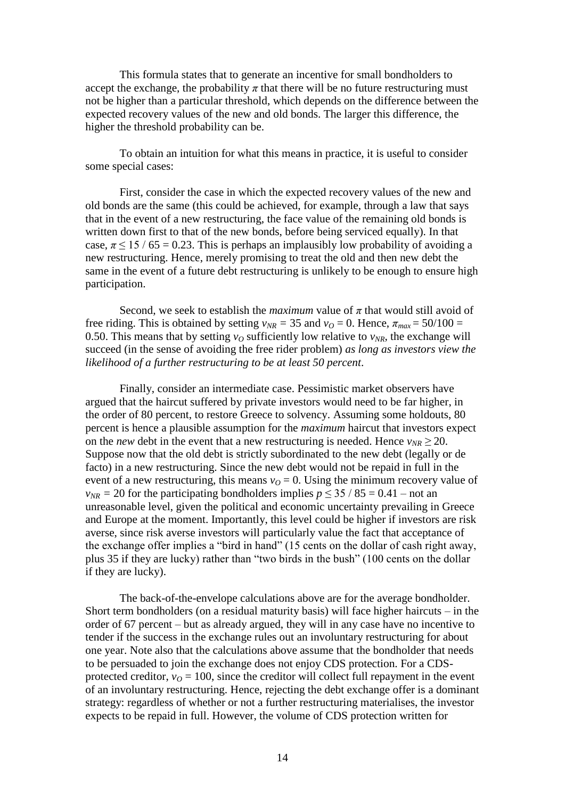This formula states that to generate an incentive for small bondholders to accept the exchange, the probability  $\pi$  that there will be no future restructuring must not be higher than a particular threshold, which depends on the difference between the expected recovery values of the new and old bonds. The larger this difference, the higher the threshold probability can be.

To obtain an intuition for what this means in practice, it is useful to consider some special cases:

First, consider the case in which the expected recovery values of the new and old bonds are the same (this could be achieved, for example, through a law that says that in the event of a new restructuring, the face value of the remaining old bonds is written down first to that of the new bonds, before being serviced equally). In that case,  $\pi \leq 15/65 = 0.23$ . This is perhaps an implausibly low probability of avoiding a new restructuring. Hence, merely promising to treat the old and then new debt the same in the event of a future debt restructuring is unlikely to be enough to ensure high participation.

Second, we seek to establish the *maximum* value of  $\pi$  that would still avoid of free riding. This is obtained by setting  $v_{NR} = 35$  and  $v_{O} = 0$ . Hence,  $\pi_{max} = 50/100 = 0$ . 0.50. This means that by setting  $v<sub>O</sub>$  sufficiently low relative to  $v<sub>NR</sub>$ , the exchange will succeed (in the sense of avoiding the free rider problem) *as long as investors view the likelihood of a further restructuring to be at least 50 percent*.

Finally, consider an intermediate case. Pessimistic market observers have argued that the haircut suffered by private investors would need to be far higher, in the order of 80 percent, to restore Greece to solvency. Assuming some holdouts, 80 percent is hence a plausible assumption for the *maximum* haircut that investors expect on the *new* debt in the event that a new restructuring is needed. Hence  $v_{NR} \ge 20$ . Suppose now that the old debt is strictly subordinated to the new debt (legally or de facto) in a new restructuring. Since the new debt would not be repaid in full in the event of a new restructuring, this means  $v<sub>O</sub> = 0$ . Using the minimum recovery value of  $v_{NR}$  = 20 for the participating bondholders implies  $p \le 35 / 85 = 0.41$  – not an unreasonable level, given the political and economic uncertainty prevailing in Greece and Europe at the moment. Importantly, this level could be higher if investors are risk averse, since risk averse investors will particularly value the fact that acceptance of the exchange offer implies a "bird in hand" (15 cents on the dollar of cash right away, plus 35 if they are lucky) rather than "two birds in the bush" (100 cents on the dollar if they are lucky).

The back-of-the-envelope calculations above are for the average bondholder. Short term bondholders (on a residual maturity basis) will face higher haircuts – in the order of 67 percent – but as already argued, they will in any case have no incentive to tender if the success in the exchange rules out an involuntary restructuring for about one year. Note also that the calculations above assume that the bondholder that needs to be persuaded to join the exchange does not enjoy CDS protection. For a CDSprotected creditor,  $v<sub>O</sub> = 100$ , since the creditor will collect full repayment in the event of an involuntary restructuring. Hence, rejecting the debt exchange offer is a dominant strategy: regardless of whether or not a further restructuring materialises, the investor expects to be repaid in full. However, the volume of CDS protection written for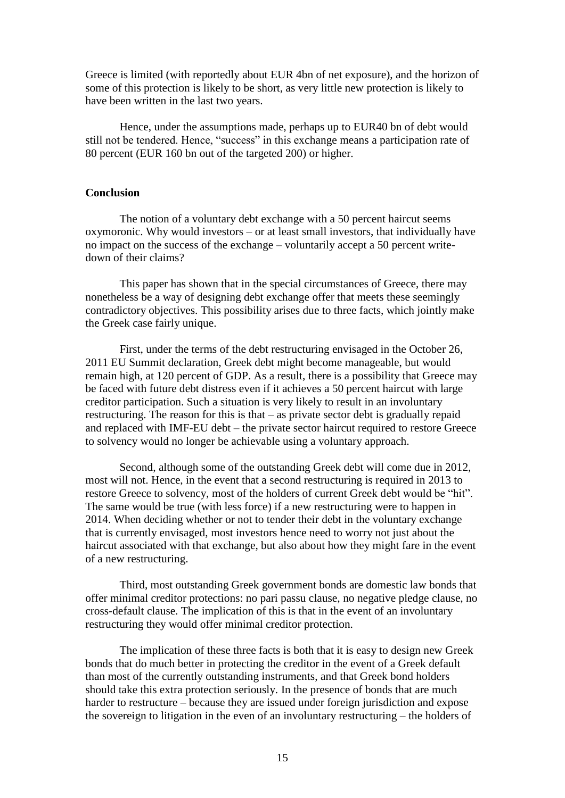Greece is limited (with reportedly about EUR 4bn of net exposure), and the horizon of some of this protection is likely to be short, as very little new protection is likely to have been written in the last two years.

Hence, under the assumptions made, perhaps up to EUR40 bn of debt would still not be tendered. Hence, "success" in this exchange means a participation rate of 80 percent (EUR 160 bn out of the targeted 200) or higher.

## **Conclusion**

The notion of a voluntary debt exchange with a 50 percent haircut seems oxymoronic. Why would investors – or at least small investors, that individually have no impact on the success of the exchange – voluntarily accept a 50 percent writedown of their claims?

This paper has shown that in the special circumstances of Greece, there may nonetheless be a way of designing debt exchange offer that meets these seemingly contradictory objectives. This possibility arises due to three facts, which jointly make the Greek case fairly unique.

First, under the terms of the debt restructuring envisaged in the October 26, 2011 EU Summit declaration, Greek debt might become manageable, but would remain high, at 120 percent of GDP. As a result, there is a possibility that Greece may be faced with future debt distress even if it achieves a 50 percent haircut with large creditor participation. Such a situation is very likely to result in an involuntary restructuring. The reason for this is that – as private sector debt is gradually repaid and replaced with IMF-EU debt – the private sector haircut required to restore Greece to solvency would no longer be achievable using a voluntary approach.

Second, although some of the outstanding Greek debt will come due in 2012, most will not. Hence, in the event that a second restructuring is required in 2013 to restore Greece to solvency, most of the holders of current Greek debt would be "hit". The same would be true (with less force) if a new restructuring were to happen in 2014. When deciding whether or not to tender their debt in the voluntary exchange that is currently envisaged, most investors hence need to worry not just about the haircut associated with that exchange, but also about how they might fare in the event of a new restructuring.

Third, most outstanding Greek government bonds are domestic law bonds that offer minimal creditor protections: no pari passu clause, no negative pledge clause, no cross-default clause. The implication of this is that in the event of an involuntary restructuring they would offer minimal creditor protection.

The implication of these three facts is both that it is easy to design new Greek bonds that do much better in protecting the creditor in the event of a Greek default than most of the currently outstanding instruments, and that Greek bond holders should take this extra protection seriously. In the presence of bonds that are much harder to restructure – because they are issued under foreign jurisdiction and expose the sovereign to litigation in the even of an involuntary restructuring – the holders of